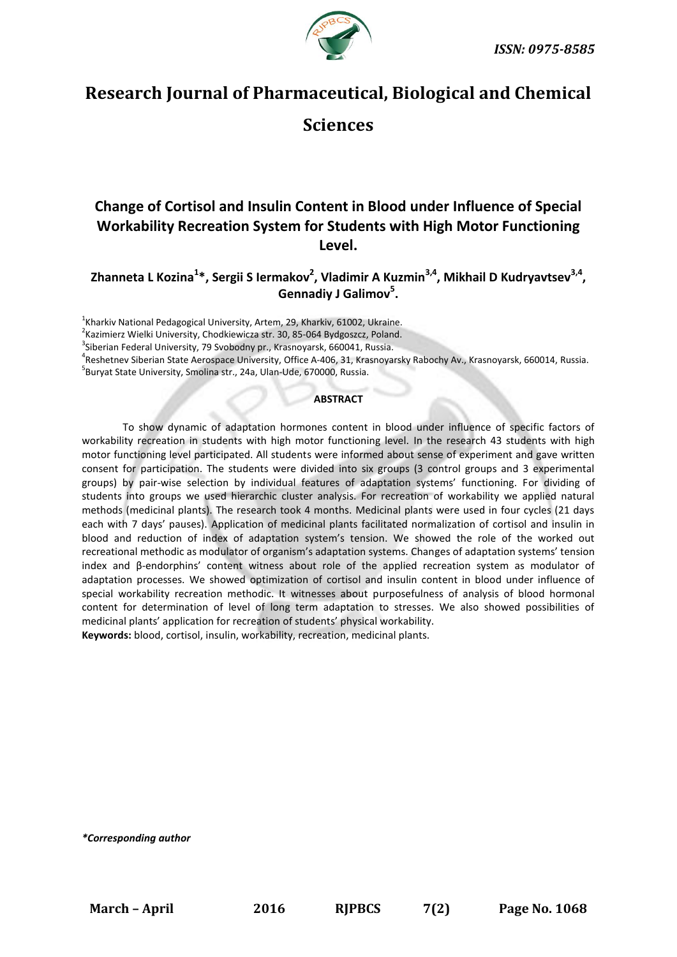

# **Research Journal of Pharmaceutical, Biological and Chemical**

# **Sciences**

# **Change of Cortisol and Insulin Content in Blood under Influence of Special Workability Recreation System for Students with High Motor Functioning Level.**

**Zhanneta L Kozina<sup>1</sup> \*, Sergii S Iermakov<sup>2</sup> , Vladimir A Kuzmin3,4, Mikhail D Kudryavtsev3,4 , Gennadiy J Galimov<sup>5</sup> .**

 $^{1}$ Kharkiv National Pedagogical University, Artem, 29, Kharkiv, 61002, Ukraine.

<sup>2</sup> Kazimierz Wielki University, Chodkiewicza str. 30, 85-064 Bydgoszcz, Poland.

<sup>3</sup>Siberian Federal University, 79 Svobodny pr., Krasnoyarsk, 660041, Russia.

4 Reshetnev Siberian State Aerospace University, Office A-406, 31, Krasnoyarsky Rabochy Av., Krasnoyarsk, 660014, Russia. 5 Buryat State University, Smolina str., 24a, Ulan-Ude, 670000, Russia.

**ABSTRACT**

To show dynamic of adaptation hormones content in blood under influence of specific factors of workability recreation in students with high motor functioning level. In the research 43 students with high motor functioning level participated. All students were informed about sense of experiment and gave written consent for participation. The students were divided into six groups (3 control groups and 3 experimental groups) by pair-wise selection by individual features of adaptation systems' functioning. For dividing of students into groups we used hierarchic cluster analysis. For recreation of workability we applied natural methods (medicinal plants). The research took 4 months. Medicinal plants were used in four cycles (21 days each with 7 days' pauses). Application of medicinal plants facilitated normalization of cortisol and insulin in blood and reduction of index of adaptation system's tension. We showed the role of the worked out recreational methodic as modulator of organism's adaptation systems. Changes of adaptation systems' tension index and β-endorphins' content witness about role of the applied recreation system as modulator of adaptation processes. We showed optimization of cortisol and insulin content in blood under influence of special workability recreation methodic. It witnesses about purposefulness of analysis of blood hormonal content for determination of level of long term adaptation to stresses. We also showed possibilities of medicinal plants' application for recreation of students' physical workability.

**Keywords:** blood, cortisol, insulin, workability, recreation, medicinal plants.

*\*Corresponding author*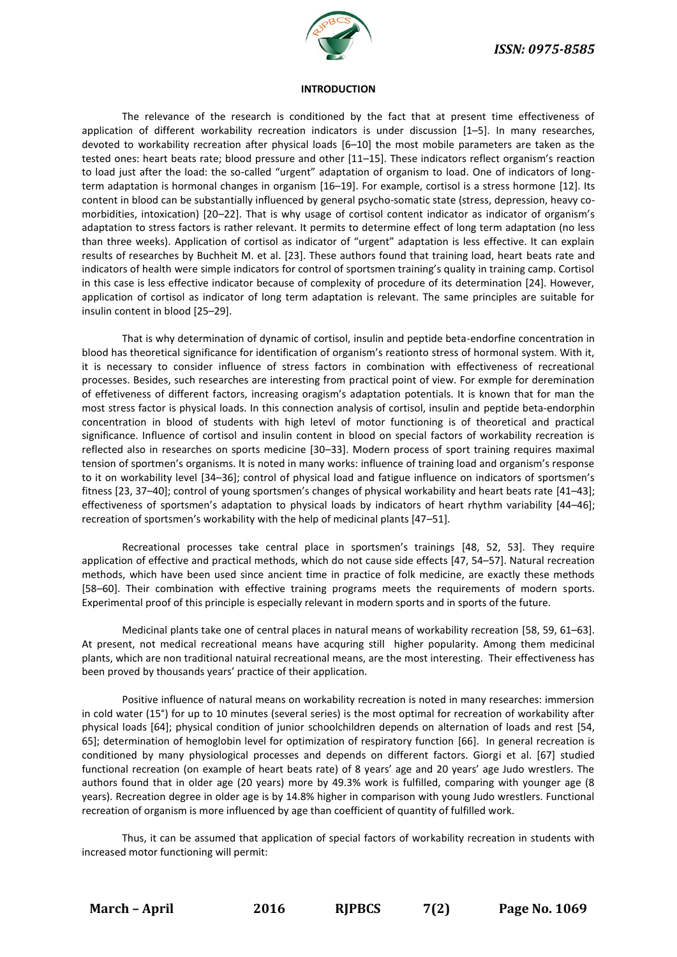

#### **INTRODUCTION**

The relevance of the research is conditioned by the fact that at present time effectiveness of application of different workability recreation indicators is under discussion [1–5]. In many researches, devoted to workability recreation after physical loads [6–10] the most mobile parameters are taken as the tested ones: heart beats rate; blood pressure and other [11–15]. These indicators reflect organism's reaction to load just after the load: the so-called "urgent" adaptation of organism to load. One of indicators of longterm adaptation is hormonal changes in organism [16–19]. For example, cortisol is a stress hormone [12]. Its content in blood can be substantially influenced by general psycho-somatic state (stress, depression, heavy comorbidities, intoxication) [20–22]. That is why usage of cortisol content indicator as indicator of organism's adaptation to stress factors is rather relevant. It permits to determine effect of long term adaptation (no less than three weeks). Application of cortisol as indicator of "urgent" adaptation is less effective. It can explain results of researches by Buchheit M. et al. [23]. These authors found that training load, heart beats rate and indicators of health were simple indicators for control of sportsmen training's quality in training camp. Cortisol in this case is less effective indicator because of complexity of procedure of its determination [24]. However, application of cortisol as indicator of long term adaptation is relevant. The same principles are suitable for insulin content in blood [25–29].

That is why determination of dynamic of cortisol, insulin and peptide beta-endorfine concentration in blood has theoretical significance for identification of organism's reationto stress of hormonal system. With it, it is necessary to consider influence of stress factors in combination with effectiveness of recreational processes. Besides, such researches are interesting from practical point of view. For exmple for deremination of effetiveness of different factors, increasing oragism's adaptation potentials. It is known that for man the most stress factor is physical loads. In this connection analysis of cortisol, insulin and peptide beta-endorphin concentration in blood of students with high letevl of motor functioning is of theoretical and practical significance. Influence of cortisol and insulin content in blood on special factors of workability recreation is reflected also in researches on sports medicine [30–33]. Modern process of sport training requires maximal tension of sportmen's organisms. It is noted in many works: influence of training load and organism's response to it on workability level [34–36]; control of physical load and fatigue influence on indicators of sportsmen's fitness [23, 37–40]; control of young sportsmen's changes of physical workability and heart beats rate [41–43]; effectiveness of sportsmen's adaptation to physical loads by indicators of heart rhythm variability [44–46]; recreation of sportsmen's workability with the help of medicinal plants [47–51].

Recreational processes take central place in sportsmen's trainings [48, 52, 53]. They require application of effective and practical methods, which do not cause side effects [47, 54–57]. Natural recreation methods, which have been used since ancient time in practice of folk medicine, are exactly these methods [58–60]. Their combination with effective training programs meets the requirements of modern sports. Experimental proof of this principle is especially relevant in modern sports and in sports of the future.

Medicinal plants take one of central places in natural means of workability recreation [58, 59, 61–63]. At present, not medical recreational means have acquring still higher popularity. Among them medicinal plants, which are non traditional natuiral recreational means, are the most interesting. Their effectiveness has been proved by thousands years' practice of their application.

Positive influence of natural means on workability recreation is noted in many researches: immersion in cold water (15°) for up to 10 minutes (several series) is the most optimal for recreation of workability after physical loads [64]; physical condition of junior schoolchildren depends on alternation of loads and rest [54, 65]; determination of hemoglobin level for optimization of respiratory function [66]. In general recreation is conditioned by many physiological processes and depends on different factors. Giorgi et al. [67] studied functional recreation (on example of heart beats rate) of 8 years' age and 20 years' age Judo wrestlers. The authors found that in older age (20 years) more by 49.3% work is fulfilled, comparing with younger age (8 years). Recreation degree in older age is by 14.8% higher in comparison with young Judo wrestlers. Functional recreation of organism is more influenced by age than coefficient of quantity of fulfilled work.

Thus, it can be assumed that application of special factors of workability recreation in students with increased motor functioning will permit:

**March – April 2016 RJPBCS 7(2) Page No. 1069**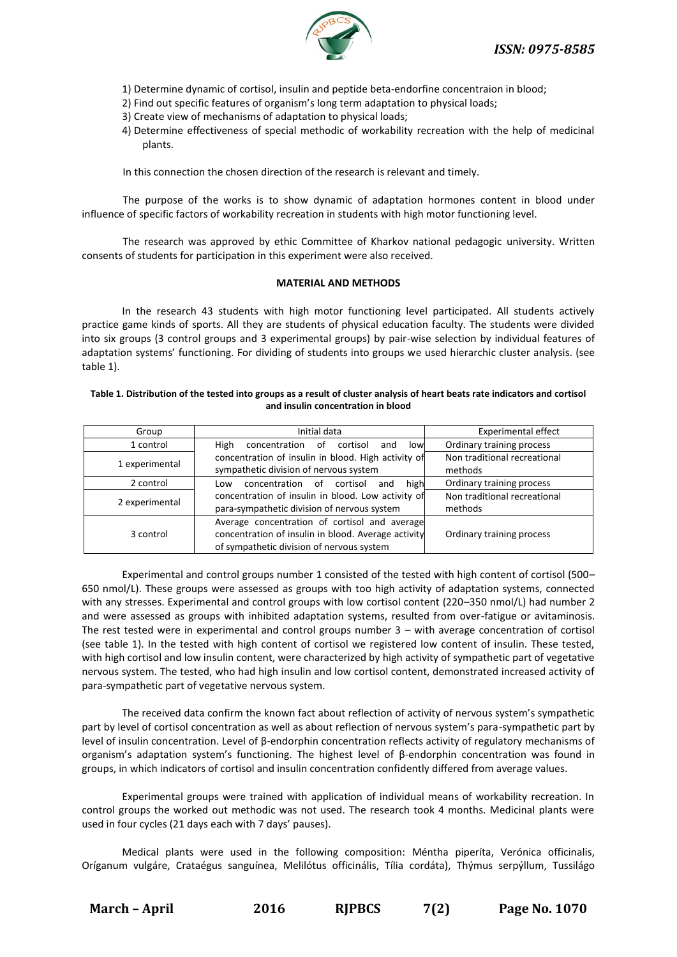

- 1) Determine dynamic of cortisol, insulin and peptide beta-endorfine concentraion in blood;
- 2) Find out specific features of organism's long term adaptation to physical loads;
- 3) Create view of mechanisms of adaptation to physical loads;
- 4) Determine effectiveness of special methodic of workability recreation with the help of medicinal plants.

In this connection the chosen direction of the research is relevant and timely.

The purpose of the works is to show dynamic of adaptation hormones content in blood under influence of specific factors of workability recreation in students with high motor functioning level.

The research was approved by ethic Committee of Kharkov national pedagogic university. Written consents of students for participation in this experiment were also received.

### **MATERIAL AND METHODS**

In the research 43 students with high motor functioning level participated. All students actively practice game kinds of sports. All they are students of physical education faculty. The students were divided into six groups (3 control groups and 3 experimental groups) by pair-wise selection by individual features of adaptation systems' functioning. For dividing of students into groups we used hierarchic cluster analysis. (see table 1).

#### **Table 1. Distribution of the tested into groups as a result of cluster analysis of heart beats rate indicators and cortisol and insulin concentration in blood**

| Group          | Initial data                                                                                                                                      | <b>Experimental effect</b>              |  |
|----------------|---------------------------------------------------------------------------------------------------------------------------------------------------|-----------------------------------------|--|
| 1 control      | High<br>concentration<br>cortisol<br>low<br>0f<br>and                                                                                             | Ordinary training process               |  |
| 1 experimental | concentration of insulin in blood. High activity of<br>sympathetic division of nervous system                                                     | Non traditional recreational<br>methods |  |
| 2 control      | high<br>concentration of cortisol<br>and<br>Low                                                                                                   | Ordinary training process               |  |
| 2 experimental | concentration of insulin in blood. Low activity of<br>para-sympathetic division of nervous system                                                 | Non traditional recreational<br>methods |  |
| 3 control      | Average concentration of cortisol and average<br>concentration of insulin in blood. Average activity<br>of sympathetic division of nervous system | Ordinary training process               |  |

Experimental and control groups number 1 consisted of the tested with high content of cortisol (500– 650 nmol/L). These groups were assessed as groups with too high activity of adaptation systems, connected with any stresses. Experimental and control groups with low cortisol content (220–350 nmol/L) had number 2 and were assessed as groups with inhibited adaptation systems, resulted from over-fatigue or avitaminosis. The rest tested were in experimental and control groups number 3 – with average concentration of cortisol (see table 1). In the tested with high content of cortisol we registered low content of insulin. These tested, with high cortisol and low insulin content, were characterized by high activity of sympathetic part of vegetative nervous system. The tested, who had high insulin and low cortisol content, demonstrated increased activity of para-sympathetic part of vegetative nervous system.

The received data confirm the known fact about reflection of activity of nervous system's sympathetic part by level of cortisol concentration as well as about reflection of nervous system's para-sympathetic part by level of insulin concentration. Level of β-endorphin concentration reflects activity of regulatory mechanisms of organism's adaptation system's functioning. The highest level of β-endorphin concentration was found in groups, in which indicators of cortisol and insulin concentration confidently differed from average values.

Experimental groups were trained with application of individual means of workability recreation. In control groups the worked out methodic was not used. The research took 4 months. Medicinal plants were used in four cycles (21 days each with 7 days' pauses).

Medical plants were used in the following composition: Méntha piperíta, Verónica officinalis, Oríganum vulgáre, Crataégus sanguínea, Melilótus officinális, Tília cordáta), Thýmus serpýllum, Tussilágo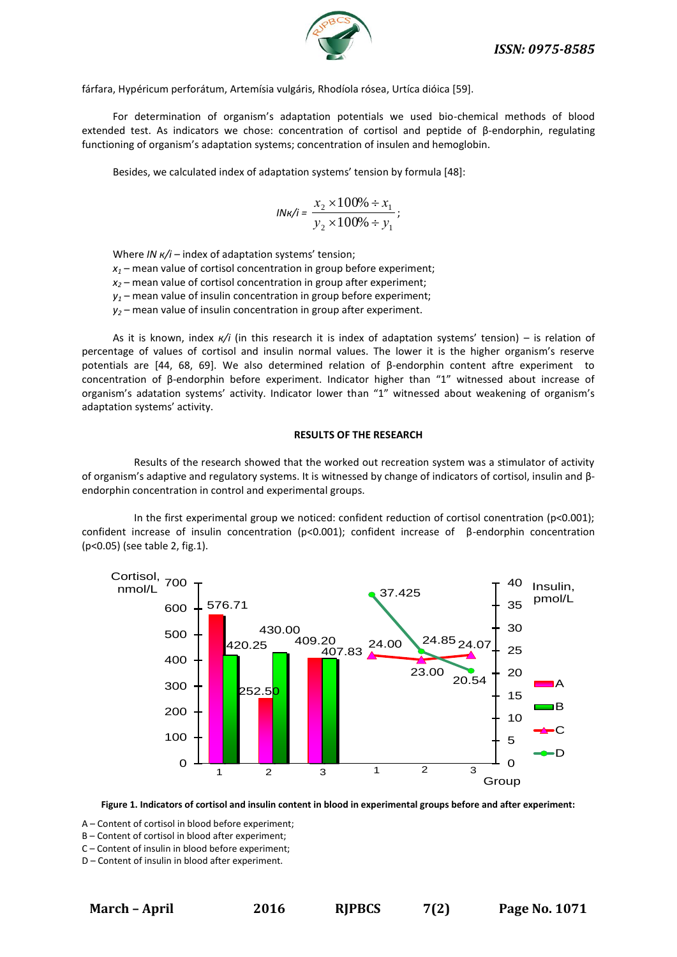

fárfara, Hypéricum perforátum, Artemísia vulgáris, Rhodíola rósea, Urtíca dióica [59].

For determination of organism's adaptation potentials we used bio-chemical methods of blood extended test. As indicators we chose: concentration of cortisol and peptide of β-endorphin, regulating functioning of organism's adaptation systems; concentration of insulen and hemoglobin.

Besides, we calculated index of adaptation systems' tension by formula [48]:

$$
I N \kappa / i = \frac{x_2 \times 100\% \div x_1}{y_2 \times 100\% \div y_1};
$$

Where *ІN к/і* – index of adaptation systems' tension;

- $x_1$  mean value of cortisol concentration in group before experiment;
- *х<sup>2</sup>* mean value of cortisol concentration in group after experiment;
- $y_1$  mean value of insulin concentration in group before experiment;
- $y_2$  mean value of insulin concentration in group after experiment.

As it is known, index *к/i* (in this research it is index of adaptation systems' tension) – is relation of percentage of values of cortisol and insulin normal values. The lower it is the higher organism's reserve potentials are [44, 68, 69]. We also determined relation of β-endorphin content aftre experiment to concentration of β-endorphin before experiment. Indicator higher than "1" witnessed about increase of organism's adatation systems' activity. Indicator lower than "1" witnessed about weakening of organism's adaptation systems' activity.

#### **RESULTS OF THE RESEARCH**

Results of the research showed that the worked out recreation system was a stimulator of activity of organism's adaptive and regulatory systems. It is witnessed by change of indicators of cortisol, insulin and βendorphin concentration in control and experimental groups.

In the first experimental group we noticed: confident reduction of cortisol conentration (p<0.001); confident increase of insulin concentration (р<0.001); confident increase of β-endorphin concentration (р<0.05) (see table 2, fig.1).



**Figure 1. Indicators of cortisol and insulin content in blood in experimental groups before and after experiment:** 

A – Content of cortisol in blood before experiment;

B – Content of cortisol in blood after experiment;

C – Content of insulin in blood before experiment;

D – Content of insulin in blood after experiment.

**March – April 2016 RJPBCS 7(2) Page No. 1071**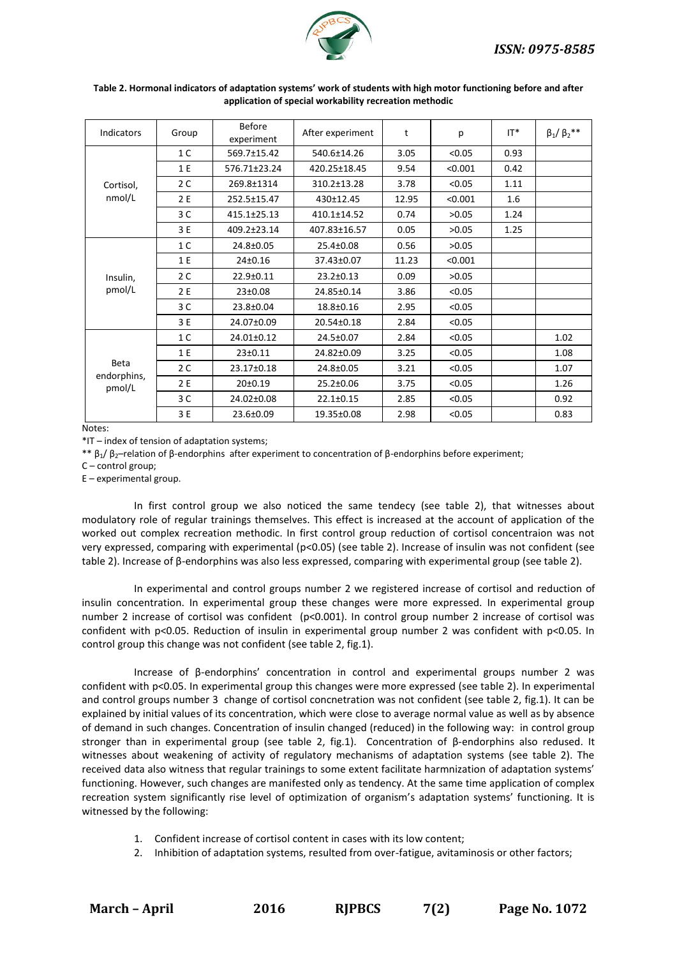

| Indicators                           | Group          | <b>Before</b><br>experiment | After experiment | t     | p       | $IT^*$ | $\beta_1/\beta_2{}^{**}$ |
|--------------------------------------|----------------|-----------------------------|------------------|-------|---------|--------|--------------------------|
| Cortisol,<br>nmol/L                  | 1 <sup>C</sup> | 569.7±15.42                 | 540.6±14.26      | 3.05  | < 0.05  | 0.93   |                          |
|                                      | 1 E            | 576.71±23.24                | 420.25±18.45     | 9.54  | < 0.001 | 0.42   |                          |
|                                      | 2 <sub>C</sub> | 269.8±1314                  | 310.2±13.28      | 3.78  | < 0.05  | 1.11   |                          |
|                                      | 2 E            | 252.5±15.47                 | 430±12.45        | 12.95 | < 0.001 | 1.6    |                          |
|                                      | 3C             | 415.1±25.13                 | 410.1±14.52      | 0.74  | >0.05   | 1.24   |                          |
|                                      | 3 E            | 409.2±23.14                 | 407.83±16.57     | 0.05  | >0.05   | 1.25   |                          |
| Insulin,<br>pmol/L                   | 1 <sup>C</sup> | 24.8±0.05                   | 25.4±0.08        | 0.56  | >0.05   |        |                          |
|                                      | 1 E            | 24±0.16                     | 37.43±0.07       | 11.23 | < 0.001 |        |                          |
|                                      | 2C             | 22.9±0.11                   | $23.2 \pm 0.13$  | 0.09  | >0.05   |        |                          |
|                                      | 2 E            | 23±0.08                     | 24.85±0.14       | 3.86  | < 0.05  |        |                          |
|                                      | 3 C            | 23.8±0.04                   | 18.8±0.16        | 2.95  | < 0.05  |        |                          |
|                                      | 3 E            | 24.07±0.09                  | 20.54±0.18       | 2.84  | < 0.05  |        |                          |
| <b>Beta</b><br>endorphins,<br>pmol/L | 1 <sup>C</sup> | 24.01±0.12                  | 24.5±0.07        | 2.84  | < 0.05  |        | 1.02                     |
|                                      | 1 E            | $23 \pm 0.11$               | 24.82±0.09       | 3.25  | < 0.05  |        | 1.08                     |
|                                      | 2 <sub>C</sub> | 23.17±0.18                  | 24.8±0.05        | 3.21  | < 0.05  |        | 1.07                     |
|                                      | 2 E            | 20±0.19                     | 25.2±0.06        | 3.75  | < 0.05  |        | 1.26                     |
|                                      | 3 C            | 24.02±0.08                  | $22.1 \pm 0.15$  | 2.85  | < 0.05  |        | 0.92                     |
|                                      | 3 E            | 23.6±0.09                   | 19.35±0.08       | 2.98  | < 0.05  |        | 0.83                     |

#### Table 2. Hormonal indicators of adaptation systems' work of students with high motor functioning before and after **application of special workability recreation methodic**

Notes:

\*IT – index of tension of adaptation systems;

\*\*  $β_1/β_2$ -relation of β-endorphins after experiment to concentration of β-endorphins before experiment;

C – control group;

E – experimental group.

In first control group we also noticed the same tendecy (see table 2), that witnesses about modulatory role of regular trainings themselves. This effect is increased at the account of application of the worked out complex recreation methodic. In first control group reduction of cortisol concentraion was not very expressed, comparing with experimental (p<0.05) (see table 2). Increase of insulin was not confident (see table 2). Increase of β-endorphins was also less expressed, comparing with experimental group (see table 2).

In experimental and control groups number 2 we registered increase of cortisol and reduction of insulin concentration. In experimental group these changes were more expressed. In experimental group number 2 increase of cortisol was confident (p<0.001). In control group number 2 increase of cortisol was confident with р<0.05. Reduction of insulin in experimental group number 2 was confident with р<0.05. In control group this change was not confident (see table 2, fig.1).

Increase of β-endorphins' concentration in control and experimental groups number 2 was confident with р<0.05. In experimental group this changes were more expressed (see table 2). In experimental and control groups number 3 change of cortisol concnetration was not confident (see table 2, fig.1). It can be explained by initial values of its concentration, which were close to average normal value as well as by absence of demand in such changes. Concentration of insulin changed (reduced) in the following way: in control group stronger than in experimental group (see table 2, fig.1). Concentration of β-endorphins also redused. It witnesses about weakening of activity of regulatory mechanisms of adaptation systems (see table 2). The received data also witness that regular trainings to some extent facilitate harmnization of adaptation systems' functioning. However, such changes are manifested only as tendency. At the same time application of complex recreation system significantly rise level of optimization of organism's adaptation systems' functioning. It is witnessed by the following:

- 1. Confident increase of cortisol content in cases with its low content;
- 2. Inhibition of adaptation systems, resulted from over-fatigue, avitaminosis or other factors;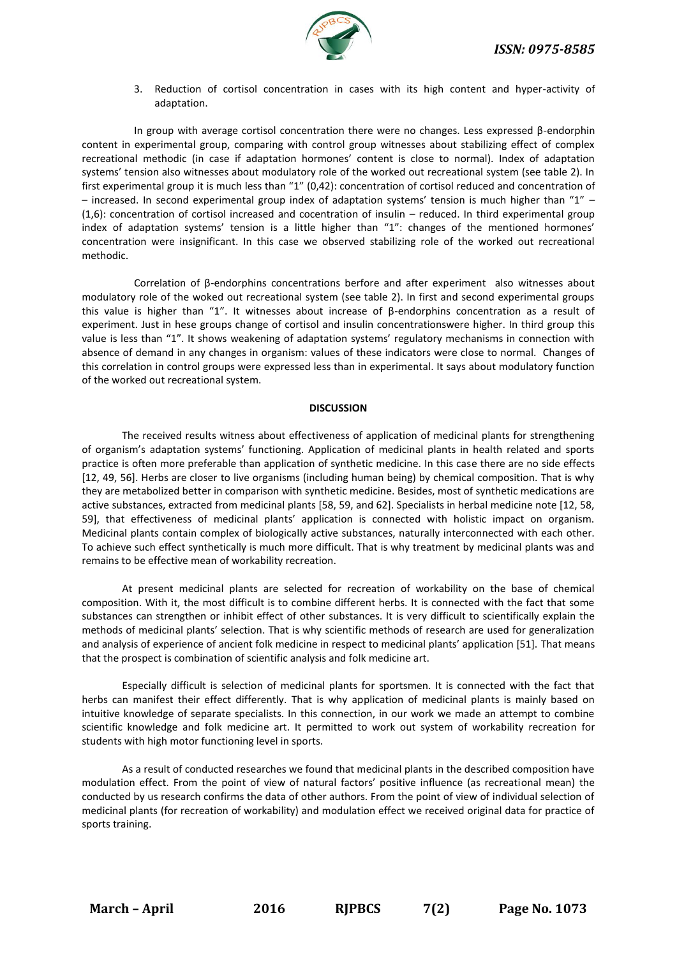

3. Reduction of cortisol concentration in cases with its high content and hyper-activity of adaptation.

In group with average cortisol concentration there were no changes. Less expressed β-endorphin content in experimental group, comparing with control group witnesses about stabilizing effect of complex recreational methodic (in case if adaptation hormones' content is close to normal). Index of adaptation systems' tension also witnesses about modulatory role of the worked out recreational system (see table 2). In first experimental group it is much less than "1" (0,42): concentration of cortisol reduced and concentration of – increased. In second experimental group index of adaptation systems' tension is much higher than "1" – (1,6): concentration of cortisol increased and cocentration of insulin – reduced. In third experimental group index of adaptation systems' tension is a little higher than "1": changes of the mentioned hormones' concentration were insignificant. In this case we observed stabilizing role of the worked out recreational methodic.

Correlation of β-endorphins concentrations berfore and after experiment also witnesses about modulatory role of the woked out recreational system (see table 2). In first and second experimental groups this value is higher than "1". It witnesses about increase of β-endorphins concentration as a result of experiment. Just in hese groups change of cortisol and insulin concentrationswere higher. In third group this value is less than "1". It shows weakening of adaptation systems' regulatory mechanisms in connection with absence of demand in any changes in organism: values of these indicators were close to normal. Changes of this correlation in control groups were expressed less than in experimental. It says about modulatory function of the worked out recreational system.

### **DISCUSSION**

The received results witness about effectiveness of application of medicinal plants for strengthening of organism's adaptation systems' functioning. Application of medicinal plants in health related and sports practice is often more preferable than application of synthetic medicine. In this case there are no side effects [12, 49, 56]. Herbs are closer to live organisms (including human being) by chemical composition. That is why they are metabolized better in comparison with synthetic medicine. Besides, most of synthetic medications are active substances, extracted from medicinal plants [58, 59, and 62]. Specialists in herbal medicine note [12, 58, 59], that effectiveness of medicinal plants' application is connected with holistic impact on organism. Medicinal plants contain complex of biologically active substances, naturally interconnected with each other. To achieve such effect synthetically is much more difficult. That is why treatment by medicinal plants was and remains to be effective mean of workability recreation.

At present medicinal plants are selected for recreation of workability on the base of chemical composition. With it, the most difficult is to combine different herbs. It is connected with the fact that some substances can strengthen or inhibit effect of other substances. It is very difficult to scientifically explain the methods of medicinal plants' selection. That is why scientific methods of research are used for generalization and analysis of experience of ancient folk medicine in respect to medicinal plants' application [51]. That means that the prospect is combination of scientific analysis and folk medicine art.

Especially difficult is selection of medicinal plants for sportsmen. It is connected with the fact that herbs can manifest their effect differently. That is why application of medicinal plants is mainly based on intuitive knowledge of separate specialists. In this connection, in our work we made an attempt to combine scientific knowledge and folk medicine art. It permitted to work out system of workability recreation for students with high motor functioning level in sports.

As a result of conducted researches we found that medicinal plants in the described composition have modulation effect. From the point of view of natural factors' positive influence (as recreational mean) the conducted by us research confirms the data of other authors. From the point of view of individual selection of medicinal plants (for recreation of workability) and modulation effect we received original data for practice of sports training.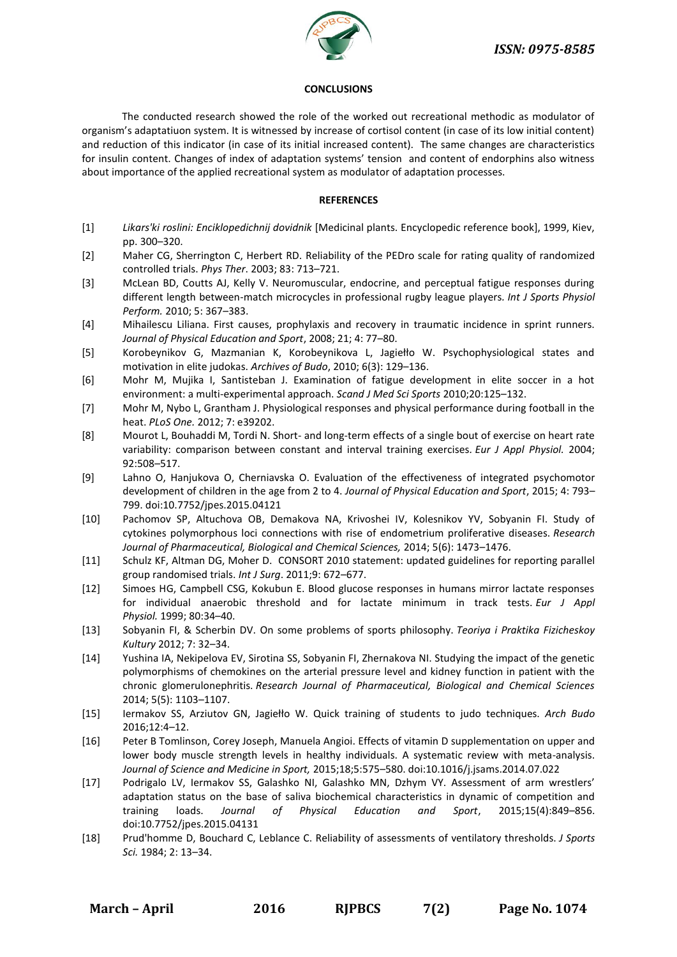

## **CONCLUSIONS**

The conducted research showed the role of the worked out recreational methodic as modulator of organism's adaptatiuon system. It is witnessed by increase of cortisol content (in case of its low initial content) and reduction of this indicator (in case of its initial increased content). The same changes are characteristics for insulin content. Changes of index of adaptation systems' tension and content of endorphins also witness about importance of the applied recreational system as modulator of adaptation processes.

## **REFERENCES**

- [1] *Likars'ki roslini: Enciklopedichnij dovidnik* [Medicinal plants. Encyclopedic reference book], 1999, Кiev, pp. 300–320.
- [2] Maher CG, Sherrington C, Herbert RD. Reliability of the PEDro scale for rating quality of randomized controlled trials. *Phys Ther*. 2003; 83: 713–721.
- [3] McLean BD, Coutts AJ, Kelly V. Neuromuscular, endocrine, and perceptual fatigue responses during different length between-match microcycles in professional rugby league players*. Int J Sports Physiol Perform.* 2010; 5: 367–383.
- [4] Mihailescu Liliana. First causes, prophylaxis and recovery in traumatic incidence in sprint runners. *Journal of Physical Education and Sport*, 2008; 21; 4: 77–80.
- [5] Korobeynikov G, Mazmanian K, Korobeynikova L, Jagiełło W. Psychophysiological states and motivation in elite judokas. *Archives of Budo*, 2010; 6(3): 129–136.
- [6] Mohr M, Mujika I, Santisteban J. Examination of fatigue development in elite soccer in a hot environment: a multi-experimental approach. *Scand J Med Sci Sports* 2010;20:125–132.
- [7] Mohr M, Nybo L, Grantham J. Physiological responses and physical performance during football in the heat. *PLoS One.* 2012; 7: e39202.
- [8] Mourot L, Bouhaddi M, Tordi N. Short- and long-term effects of a single bout of exercise on heart rate variability: comparison between constant and interval training exercises*. Eur J Appl Physiol.* 2004; 92:508–517.
- [9] Lahno O, Hanjukova O, Cherniavska O. Evaluation of the effectiveness of integrated psychomotor development of children in the age from 2 to 4. *Journal of Physical Education and Sport*, 2015; 4: 793– 799. doi:10.7752/jpes.2015.04121
- [10] Pachomov SP, Altuchova OB, Demakova NA, Krivoshei IV, Kolesnikov YV, Sobyanin FI. Study of cytokines polymorphous loci connections with rise of endometrium proliferative diseases. *Research Journal of Pharmaceutical, Biological and Chemical Sciences,* 2014; 5(6): 1473–1476.
- [11] Schulz KF, Altman DG, Moher D. CONSORT 2010 statement: updated guidelines for reporting parallel group randomised trials. *Int J Surg*. 2011;9: 672–677.
- [12] Simoes HG, Campbell CSG, Kokubun E. Blood glucose responses in humans mirror lactate responses for individual anaerobic threshold and for lactate minimum in track tests. *Eur J Appl Physiol.* 1999; 80:34–40.
- [13] Sobyanin FI, & Scherbin DV. On some problems of sports philosophy. *Teoriya i Praktika Fizicheskoy Kultury* 2012; 7: 32–34.
- [14] Yushina IA, Nekipelova EV, Sirotina SS, Sobyanin FI, Zhernakova NI. Studying the impact of the genetic polymorphisms of chemokines on the arterial pressure level and kidney function in patient with the chronic glomerulonephritis. *Research Journal of Pharmaceutical, Biological and Chemical Sciences* 2014; 5(5): 1103–1107.
- [15] Iermakov SS, Arziutov GN, Jagiełło W. Quick training of students to judo techniques. *Arch Budo* 2016;12:4–12.
- [16] Peter B Tomlinson, [Corey Joseph, Manuela Angioi.](javascript:void(0);) Effects of vitamin D supplementation on upper and lower body muscle strength levels in healthy individuals. A systematic review with meta-analysis. *Journal of Science and Medicine in Sport,* 2015;18;5:575–580. doi:10.1016/j.jsams.2014.07.022
- [17] Podrigalo LV, Iermakov SS, Galashko NI, Galashko MN, Dzhym VY. Assessment of arm wrestlers' adaptation status on the base of saliva biochemical characteristics in dynamic of competition and training loads. *Journal of Physical Education and Sport*, 2015;15(4):849–856. doi:10.7752/jpes.2015.04131
- [18] Prud'homme D, Bouchard C, Leblance C. Reliability of assessments of ventilatory thresholds. *J Sports Sci.* 1984; 2: 13–34.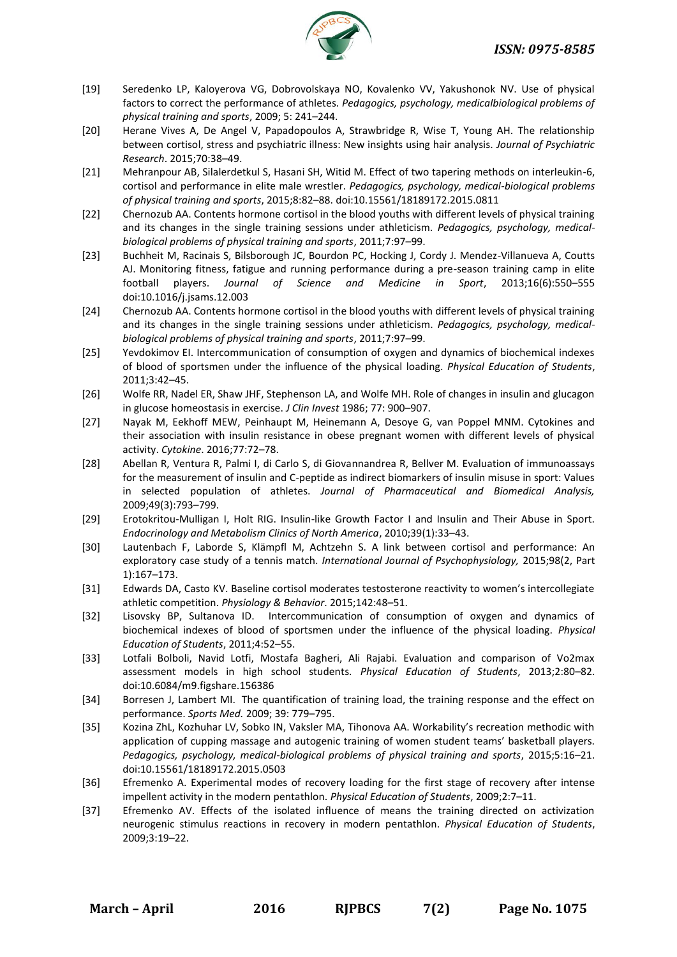

- [19] Seredenko LP, Kaloyerova VG, Dobrovolskaya NO, Kovalenko VV, Yakushonok NV. Use of physical factors to correct the performance of athletes. *Pedagogics, psychology, medicalbiological problems of physical training and sports*, 2009; 5: 241–244.
- [20] Herane Vives A, De Angel V, Papadopoulos A, Strawbridge R, Wise T, Young AH. The relationship between cortisol, stress and psychiatric illness: New insights using hair analysis. *Journal of Psychiatric Research*. 2015;70:38–49.
- [21] Mehranpour AB, Silalerdetkul S, Hasani SH, Witid M. Effect of two tapering methods on interleukin-6, cortisol and performance in elite male wrestler. *Pedagogics, psychology, medical-biological problems of physical training and sports*, 2015;8:82–88. doi:10.15561/18189172.2015.0811
- [22] Chernozub AA. Contents hormone cortisol in the blood youths with different levels of physical training and its changes in the single training sessions under athleticism. *Pedagogics, psychology, medicalbiological problems of physical training and sports*, 2011;7:97–99.
- [23] Buchheit M, Racinais S, Bilsborough JC, Bourdon PC, Hocking J, Cordy J. Mendez-Villanueva A, Coutts AJ. Monitoring fitness, fatigue and running performance during a pre-season training camp in elite football players. *Journal of Science and Medicine in Sport*, 2013;16(6):550–555 doi:10.1016/j.jsams.12.003
- [24] Chernozub AA. Contents hormone cortisol in the blood youths with different levels of physical training and its changes in the single training sessions under athleticism. *Pedagogics, psychology, medicalbiological problems of physical training and sports*, 2011;7:97–99.
- [25] Yevdokimov EI. Intercommunication of consumption of oxygen and dynamics of biochemical indexes of blood of sportsmen under the influence of the physical loading. *Physical Education of Students*, 2011;3:42–45.
- [26] Wolfe RR, Nadel ER, Shaw JHF, Stephenson LA, and Wolfe MH. Role of changes in insulin and glucagon in glucose homeostasis in exercise. *J Clin Invest* 1986; 77: 900–907.
- [27] Nayak M, Eekhoff MEW, Peinhaupt M, Heinemann A, Desoye G, van Poppel MNM. Cytokines and their association with insulin resistance in obese pregnant women with different levels of physical activity. *Cytokine*. 2016;77:72–78.
- [28] Abellan R, Ventura R, Palmi I, di Carlo S, di Giovannandrea R, Bellver M. Evaluation of immunoassays for the measurement of insulin and C-peptide as indirect biomarkers of insulin misuse in sport: Values in selected population of athletes. *Journal of Pharmaceutical and Biomedical Analysis,* 2009;49(3):793–799.
- [29] Erotokritou-Mulligan I, Holt RIG. Insulin-like Growth Factor I and Insulin and Their Abuse in Sport. *Endocrinology and Metabolism Clinics of North America*, 2010;39(1):33–43.
- [30] Lautenbach F, Laborde S, Klämpfl M, Achtzehn S. A link between cortisol and performance: An exploratory case study of a tennis match. *International Journal of Psychophysiology,* 2015;98(2, Part 1):167–173.
- [31] Edwards DA, Casto KV. Baseline cortisol moderates testosterone reactivity to women's intercollegiate athletic competition. *Physiology & Behavior*. 2015;142:48–51.
- [32] Lisovsky BP, Sultanova ID. Intercommunication of consumption of oxygen and dynamics of biochemical indexes of blood of sportsmen under the influence of the physical loading. *Physical Education of Students*, 2011;4:52–55.
- [33] Lotfali Bolboli, Navid Lotfi, Mostafa Bagheri, Ali Rajabi. Evaluation and comparison of Vo2max assessment models in high school students. *Physical Education of Students*, 2013;2:80–82. doi:10.6084/m9.figshare.156386
- [34] Borresen J, Lambert MI. The quantification of training load, the training response and the effect on performance. *Sports Med.* 2009; 39: 779–795.
- [35] Kozina ZhL, Kozhuhar LV, Sobko IN, Vaksler MA, Tihonova AA. Workability's recreation methodic with application of cupping massage and autogenic training of women student teams' basketball players. *Pedagogics, psychology, medical-biological problems of physical training and sports*, 2015;5:16–21. doi:10.15561/18189172.2015.0503
- [36] Efremenko A. Experimental modes of recovery loading for the first stage of recovery after intense impellent activity in the modern pentathlon. *Physical Education of Students*, 2009;2:7–11.
- [37] Efremenko AV. Effects of the isolated influence of means the training directed on activization neurogenic stimulus reactions in recovery in modern pentathlon. *Physical Education of Students*, 2009;3:19–22.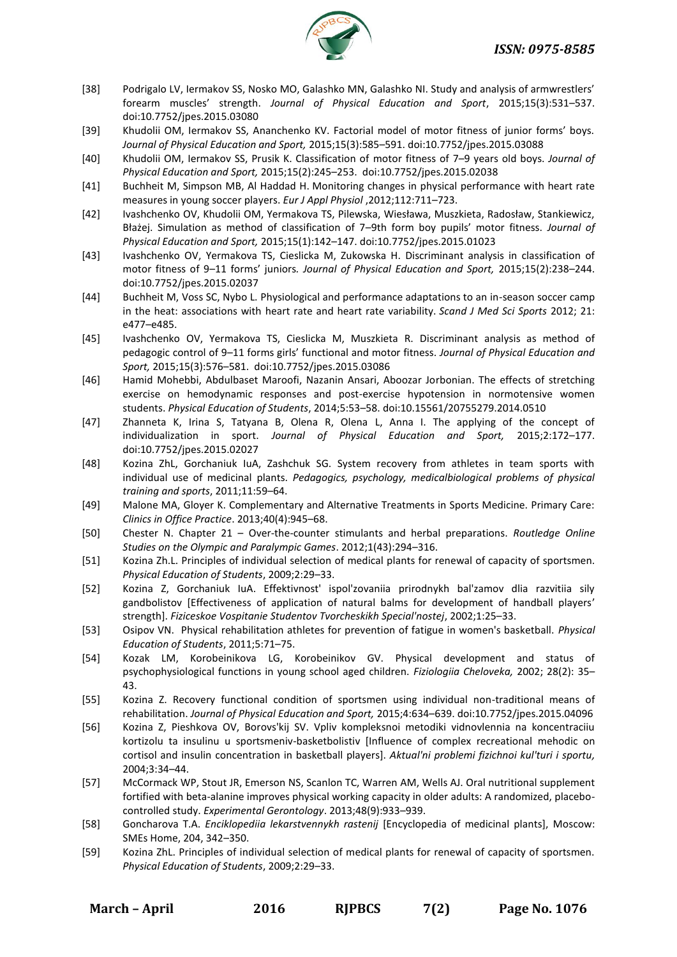

- [38] Podrigalo LV, Iermakov SS, Nosko MO, Galashko MN, Galashko NI. Study and analysis of armwrestlers' forearm muscles' strength. *Journal of Physical Education and Sport*, 2015;15(3):531–537. doi:10.7752/jpes.2015.03080
- [39] Khudolii OM, Iermakov SS, Ananchenko KV. Factorial model of motor fitness of junior forms' boys. *Journal of Physical Education and Sport,* 2015;15(3):585–591. doi:10.7752/jpes.2015.03088
- [40] Khudolii OM, Iermakov SS, Prusik K. Classification of motor fitness of 7–9 years old boys. *Journal of Physical Education and Sport,* 2015;15(2):245–253. doi:10.7752/jpes.2015.02038
- [41] Buchheit M, Simpson MB, Al Haddad H. Monitoring changes in physical performance with heart rate measures in young soccer players. *Eur J Appl Physiol* ,2012;112:711–723.
- [42] Ivashchenko OV, Khudolii OM, Yermakova TS, Pilewska, Wiesława, Muszkieta, Radosław, Stankiewicz, Błażej. Simulation as method of classification of 7–9th form boy pupils' motor fitness. *Journal of Physical Education and Sport,* 2015;15(1):142–147. doi:10.7752/jpes.2015.01023
- [43] Ivashchenko OV, Yermakova TS, Cieslicka M, Zukowska H. Discriminant analysis in classification of motor fitness of 9–11 forms' juniors*. Journal of Physical Education and Sport,* 2015;15(2):238–244. doi:10.7752/jpes.2015.02037
- [44] Buchheit M, Voss SC, Nybo L. Physiological and performance adaptations to an in-season soccer camp in the heat: associations with heart rate and heart rate variability. *Scand J Med Sci Sports* 2012; 21: e477–e485.
- [45] Ivashchenko OV, Yermakova TS, Cieslicka M, Muszkieta R. Discriminant analysis as method of pedagogic control of 9–11 forms girls' functional and motor fitness. *Journal of Physical Education and Sport,* 2015;15(3):576–581. doi:10.7752/jpes.2015.03086
- [46] Hamid Mohebbi, Abdulbaset Maroofi, Nazanin Ansari, Aboozar Jorbonian. The effects of stretching exercise on hemodynamic responses and post-exercise hypotension in normotensive women students. *Physical Education of Students*, 2014;5:53–58. doi:10.15561/20755279.2014.0510
- [47] Zhanneta K, Irina S, Tatyana B, Olena R, Olena L, Anna I. The applying of the concept of individualization in sport. *Journal of Physical Education and Sport,* 2015;2:172–177. doi:10.7752/jpes.2015.02027
- [48] Kozina ZhL, Gorchaniuk IuA, Zashchuk SG. System recovery from athletes in team sports with individual use of medicinal plants. *Pedagogics, psychology, medicalbiological problems of physical training and sports*, 2011;11:59–64.
- [49] Malone MA, Gloyer K. Complementary and Alternative Treatments in Sports Medicine. Primary Care: *Clinics in Office Practice*. 2013;40(4):945–68.
- [50] Chester N. Chapter 21 Over-the-counter stimulants and herbal preparations. *Routledge Online Studies on the Olympic and Paralympic Games*. 2012;1(43):294–316.
- [51] Kozina Zh.L. Principles of individual selection of medical plants for renewal of capacity of sportsmen. *Physical Education of Students*, 2009;2:29–33.
- [52] Kozina Z, Gorchaniuk IuA. Effektivnost' ispol'zovaniia prirodnykh bal'zamov dlia razvitiia sily gandbolistov [Effectiveness of application of natural balms for development of handball players' strength]. *Fiziceskoe Vospitanie Studentov Tvorcheskikh Special'nostej*, 2002;1:25–33.
- [53] Osipov VN. Physical rehabilitation athletes for prevention of fatigue in women's basketball. *Physical Education of Students*, 2011;5:71–75.
- [54] Kozak LM, Korobeinikova LG, Korobeinikov GV. Physical development and status of psychophysiological functions in young school aged children. *Fiziologiia Cheloveka,* 2002; 28(2): 35– 43.
- [55] Kozina Z. Recovery functional condition of sportsmen using individual non-traditional means of rehabilitation. *Journal of Physical Education and Sport,* 2015;4:634–639. doi:10.7752/jpes.2015.04096
- [56] Kozina Z, Pieshkova OV, Borovs'kij SV. Vpliv kompleksnoi metodiki vidnovlennia na koncentraciiu kortizolu ta insulinu u sportsmeniv-basketbolistiv [Influence of complex recreational mehodic on cortisol and insulin concentration in basketball players]. *Aktual'ni problemi fizichnoi kul'turi i sportu,* 2004;3:34–44.
- [57] McCormack WP, Stout JR, Emerson NS, Scanlon TC, Warren AM, Wells AJ. Oral nutritional supplement fortified with beta-alanine improves physical working capacity in older adults: A randomized, placebocontrolled study. *Experimental Gerontology*. 2013;48(9):933–939.
- [58] Goncharova T.A. *Enciklopediia lekarstvennykh rastenij* [Encyclopedia of medicinal plants], Moscow: SMEs Home, 204, 342–350.
- [59] Kozina ZhL. Principles of individual selection of medical plants for renewal of capacity of sportsmen. *Physical Education of Students*, 2009;2:29–33.